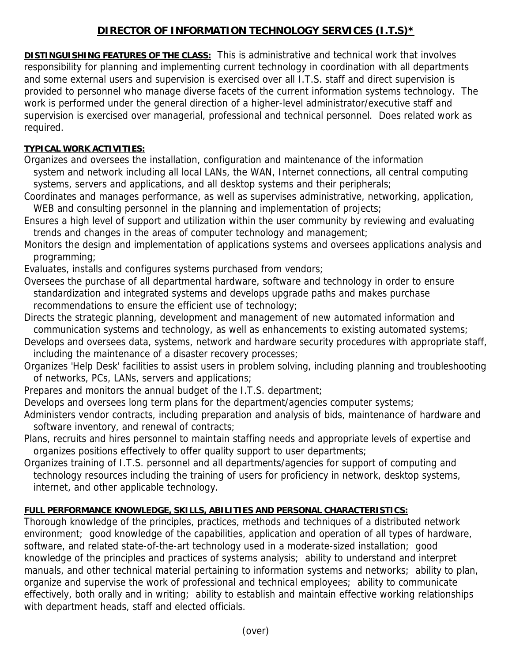## **DIRECTOR OF INFORMATION TECHNOLOGY SERVICES (I.T.S)\***

**DISTINGUISHING FEATURES OF THE CLASS:** This is administrative and technical work that involves responsibility for planning and implementing current technology in coordination with all departments and some external users and supervision is exercised over all I.T.S. staff and direct supervision is provided to personnel who manage diverse facets of the current information systems technology. The work is performed under the general direction of a higher-level administrator/executive staff and supervision is exercised over managerial, professional and technical personnel. Does related work as required.

## **TYPICAL WORK ACTIVITIES:**

Organizes and oversees the installation, configuration and maintenance of the information system and network including all local LANs, the WAN, Internet connections, all central computing systems, servers and applications, and all desktop systems and their peripherals;

Coordinates and manages performance, as well as supervises administrative, networking, application, WEB and consulting personnel in the planning and implementation of projects;

- Ensures a high level of support and utilization within the user community by reviewing and evaluating trends and changes in the areas of computer technology and management;
- Monitors the design and implementation of applications systems and oversees applications analysis and programming;

Evaluates, installs and configures systems purchased from vendors;

- Oversees the purchase of all departmental hardware, software and technology in order to ensure standardization and integrated systems and develops upgrade paths and makes purchase recommendations to ensure the efficient use of technology;
- Directs the strategic planning, development and management of new automated information and communication systems and technology, as well as enhancements to existing automated systems;
- Develops and oversees data, systems, network and hardware security procedures with appropriate staff, including the maintenance of a disaster recovery processes;
- Organizes 'Help Desk' facilities to assist users in problem solving, including planning and troubleshooting of networks, PCs, LANs, servers and applications;
- Prepares and monitors the annual budget of the I.T.S. department;
- Develops and oversees long term plans for the department/agencies computer systems;
- Administers vendor contracts, including preparation and analysis of bids, maintenance of hardware and software inventory, and renewal of contracts;
- Plans, recruits and hires personnel to maintain staffing needs and appropriate levels of expertise and organizes positions effectively to offer quality support to user departments;

Organizes training of I.T.S. personnel and all departments/agencies for support of computing and technology resources including the training of users for proficiency in network, desktop systems, internet, and other applicable technology.

## **FULL PERFORMANCE KNOWLEDGE, SKILLS, ABILITIES AND PERSONAL CHARACTERISTICS:**

Thorough knowledge of the principles, practices, methods and techniques of a distributed network environment; good knowledge of the capabilities, application and operation of all types of hardware, software, and related state-of-the-art technology used in a moderate-sized installation; good knowledge of the principles and practices of systems analysis; ability to understand and interpret manuals, and other technical material pertaining to information systems and networks; ability to plan, organize and supervise the work of professional and technical employees; ability to communicate effectively, both orally and in writing; ability to establish and maintain effective working relationships with department heads, staff and elected officials.